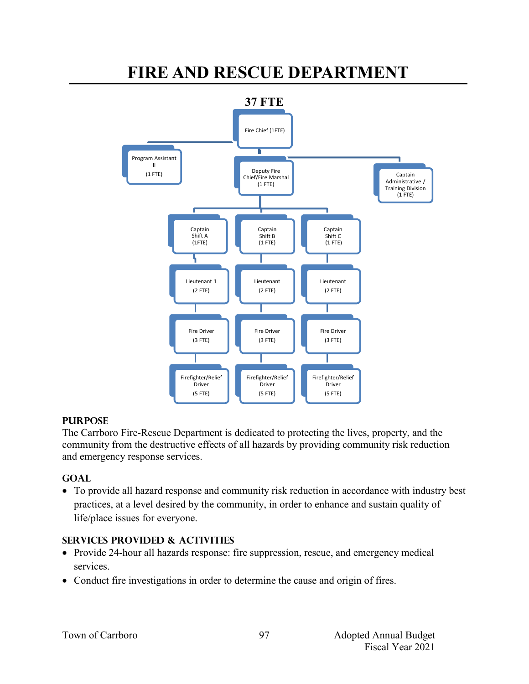# **FIRE AND RESCUE DEPARTMENT**



### **PURPOSE**

The Carrboro Fire-Rescue Department is dedicated to protecting the lives, property, and the community from the destructive effects of all hazards by providing community risk reduction and emergency response services.

### **GOAL**

 To provide all hazard response and community risk reduction in accordance with industry best practices, at a level desired by the community, in order to enhance and sustain quality of life/place issues for everyone.

### **SERVICES PROVIDED & ACTIVITIES**

- Provide 24-hour all hazards response: fire suppression, rescue, and emergency medical services.
- Conduct fire investigations in order to determine the cause and origin of fires.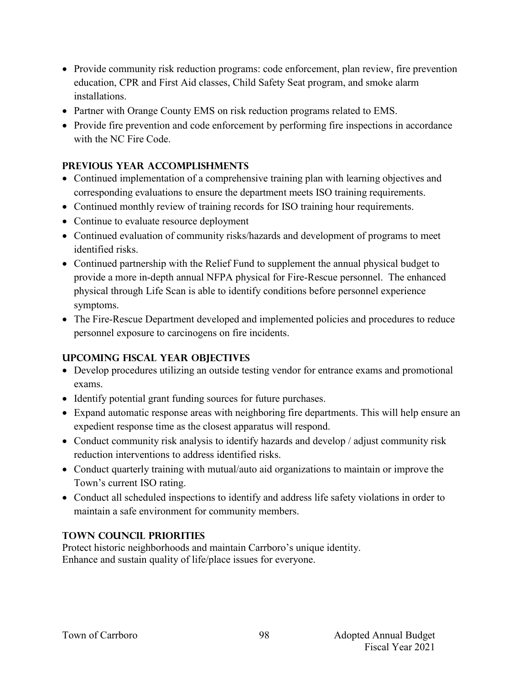- Provide community risk reduction programs: code enforcement, plan review, fire prevention education, CPR and First Aid classes, Child Safety Seat program, and smoke alarm installations.
- Partner with Orange County EMS on risk reduction programs related to EMS.
- Provide fire prevention and code enforcement by performing fire inspections in accordance with the NC Fire Code.

# **PREVIOUS YEAR ACCOMPLISHMENTS**

- Continued implementation of a comprehensive training plan with learning objectives and corresponding evaluations to ensure the department meets ISO training requirements.
- Continued monthly review of training records for ISO training hour requirements.
- Continue to evaluate resource deployment
- Continued evaluation of community risks/hazards and development of programs to meet identified risks.
- Continued partnership with the Relief Fund to supplement the annual physical budget to provide a more in-depth annual NFPA physical for Fire-Rescue personnel. The enhanced physical through Life Scan is able to identify conditions before personnel experience symptoms.
- The Fire-Rescue Department developed and implemented policies and procedures to reduce personnel exposure to carcinogens on fire incidents.

# **UPCOMING FISCAL YEAR OBJECTIVES**

- Develop procedures utilizing an outside testing vendor for entrance exams and promotional exams.
- Identify potential grant funding sources for future purchases.
- Expand automatic response areas with neighboring fire departments. This will help ensure an expedient response time as the closest apparatus will respond.
- Conduct community risk analysis to identify hazards and develop / adjust community risk reduction interventions to address identified risks.
- Conduct quarterly training with mutual/auto aid organizations to maintain or improve the Town's current ISO rating.
- Conduct all scheduled inspections to identify and address life safety violations in order to maintain a safe environment for community members.

# **TOWN COUNCIL PRIORITIES**

Protect historic neighborhoods and maintain Carrboro's unique identity. Enhance and sustain quality of life/place issues for everyone.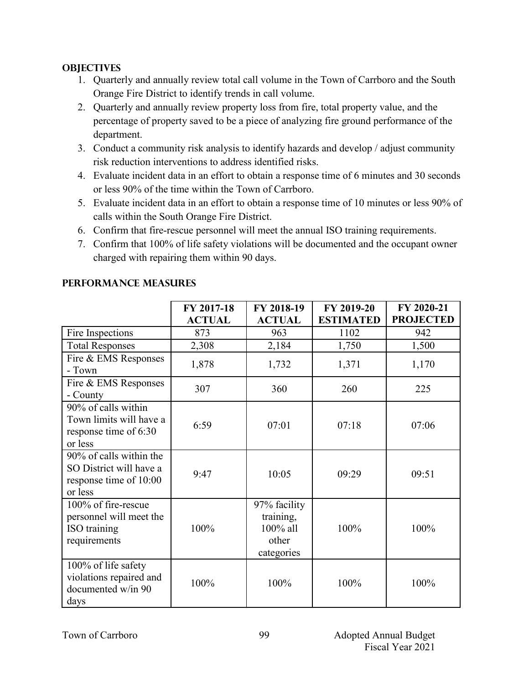### **OBJECTIVES**

- 1. Quarterly and annually review total call volume in the Town of Carrboro and the South Orange Fire District to identify trends in call volume.
- 2. Quarterly and annually review property loss from fire, total property value, and the percentage of property saved to be a piece of analyzing fire ground performance of the department.
- 3. Conduct a community risk analysis to identify hazards and develop / adjust community risk reduction interventions to address identified risks.
- 4. Evaluate incident data in an effort to obtain a response time of 6 minutes and 30 seconds or less 90% of the time within the Town of Carrboro.
- 5. Evaluate incident data in an effort to obtain a response time of 10 minutes or less 90% of calls within the South Orange Fire District.
- 6. Confirm that fire-rescue personnel will meet the annual ISO training requirements.
- 7. Confirm that 100% of life safety violations will be documented and the occupant owner charged with repairing them within 90 days.

|                                                                                         | FY 2017-18<br><b>ACTUAL</b> | FY 2018-19<br><b>ACTUAL</b>                                  | FY 2019-20<br><b>ESTIMATED</b> | FY 2020-21<br><b>PROJECTED</b> |
|-----------------------------------------------------------------------------------------|-----------------------------|--------------------------------------------------------------|--------------------------------|--------------------------------|
| Fire Inspections                                                                        | 873                         | 963                                                          | 1102                           | 942                            |
| <b>Total Responses</b>                                                                  | 2,308                       | 2,184                                                        | 1,750                          | 1,500                          |
| Fire & EMS Responses<br>- Town                                                          | 1,878                       | 1,732                                                        | 1,371                          | 1,170                          |
| Fire & EMS Responses<br>- County                                                        | 307                         | 360                                                          | 260                            | 225                            |
| 90% of calls within<br>Town limits will have a<br>response time of 6:30<br>or less      | 6:59                        | 07:01                                                        | 07:18                          | 07:06                          |
| 90% of calls within the<br>SO District will have a<br>response time of 10:00<br>or less | 9:47                        | 10:05                                                        | 09:29                          | 09:51                          |
| 100% of fire-rescue<br>personnel will meet the<br>ISO training<br>requirements          | 100%                        | 97% facility<br>training,<br>100% all<br>other<br>categories | 100%                           | 100%                           |
| 100% of life safety<br>violations repaired and<br>documented w/in 90<br>days            | 100%                        | 100%                                                         | 100%                           | 100%                           |

# **Performance Measures**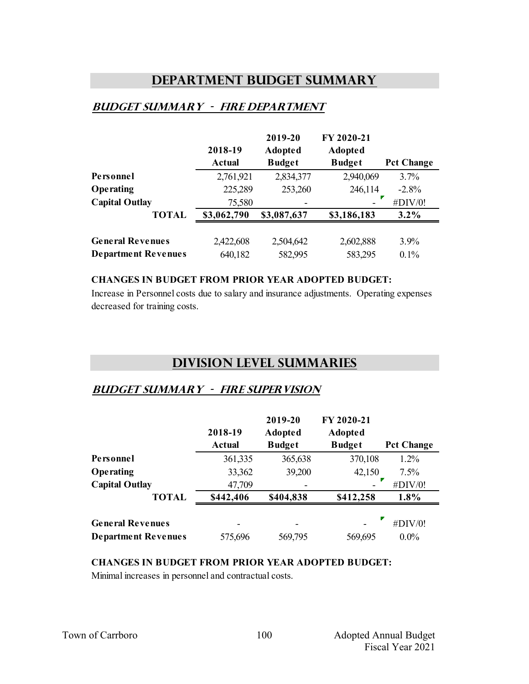# **Department Budget Summary**

# **Budget summary - fire department**

|                            |               | 2019-20        | FY 2020-21     |                   |
|----------------------------|---------------|----------------|----------------|-------------------|
|                            | 2018-19       | <b>Adopted</b> | <b>Adopted</b> |                   |
|                            | <b>Actual</b> | <b>Budget</b>  | <b>Budget</b>  | <b>Pct Change</b> |
| Personnel                  | 2,761,921     | 2,834,377      | 2,940,069      | 3.7%              |
| Operating                  | 225,289       | 253,260        | 246,114        | $-2.8%$           |
| <b>Capital Outlay</b>      | 75,580        |                |                | #DIV/0!           |
| <b>TOTAL</b>               | \$3,062,790   | \$3,087,637    | \$3,186,183    | $3.2\%$           |
|                            |               |                |                |                   |
| <b>General Revenues</b>    | 2,422,608     | 2,504,642      | 2,602,888      | 3.9%              |
| <b>Department Revenues</b> | 640,182       | 582,995        | 583,295        | 0.1%              |

#### **CHANGES IN BUDGET FROM PRIOR YEAR ADOPTED BUDGET:**

Increase in Personnel costs due to salary and insurance adjustments. Operating expenses decreased for training costs.

# **Division Level Summaries**

### **Budget summary - fire supervision**

|                            | 2018-19<br><b>Actual</b> | 2019-20<br><b>Adopted</b><br><b>Budget</b> | FY 2020-21<br><b>Adopted</b><br><b>Budget</b> | <b>Pct Change</b> |
|----------------------------|--------------------------|--------------------------------------------|-----------------------------------------------|-------------------|
| Personnel                  | 361,335                  | 365,638                                    | 370,108                                       | 1.2%              |
| Operating                  | 33,362                   | 39,200                                     | 42,150                                        | 7.5%              |
| <b>Capital Outlay</b>      | 47,709                   |                                            |                                               | #DIV/0!           |
| <b>TOTAL</b>               | \$442,406                | \$404,838                                  | \$412,258                                     | 1.8%              |
| <b>General Revenues</b>    |                          |                                            |                                               | #DIV/0!           |
| <b>Department Revenues</b> | 575,696                  | 569,795                                    | 569,695                                       | $0.0\%$           |

#### **CHANGES IN BUDGET FROM PRIOR YEAR ADOPTED BUDGET:**

Minimal increases in personnel and contractual costs.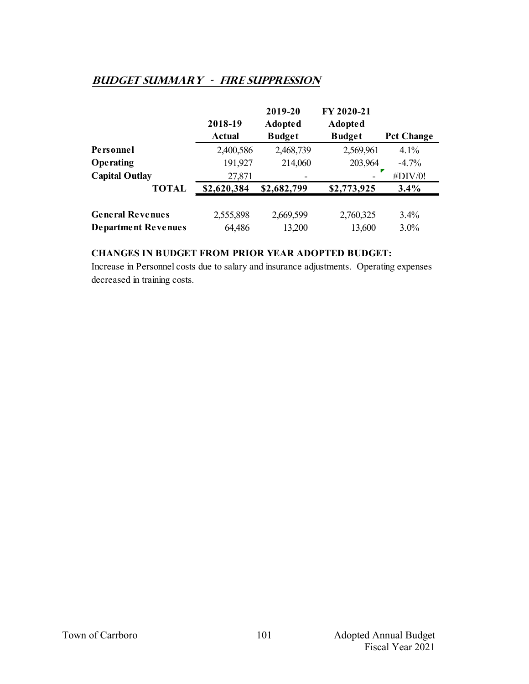# **Budget summary - fire suppression**

|                                                       | 2018-19<br><b>Actual</b> | 2019-20<br><b>Adopted</b><br><b>Budget</b> | FY 2020-21<br><b>Adopted</b><br><b>Budget</b> | <b>Pct Change</b> |
|-------------------------------------------------------|--------------------------|--------------------------------------------|-----------------------------------------------|-------------------|
| Personnel                                             | 2,400,586                | 2,468,739                                  | 2,569,961                                     | 4.1%              |
| <b>Operating</b>                                      | 191,927                  | 214,060                                    | 203,964                                       | $-4.7\%$          |
| <b>Capital Outlay</b>                                 | 27,871                   |                                            |                                               | #DIV/0!           |
| <b>TOTAL</b>                                          | \$2,620,384              | \$2,682,799                                | \$2,773,925                                   | 3.4%              |
| <b>General Revenues</b><br><b>Department Revenues</b> | 2,555,898<br>64,486      | 2,669,599<br>13,200                        | 2,760,325<br>13,600                           | $3.4\%$<br>3.0%   |

### **CHANGES IN BUDGET FROM PRIOR YEAR ADOPTED BUDGET:**

Increase in Personnel costs due to salary and insurance adjustments. Operating expenses decreased in training costs.